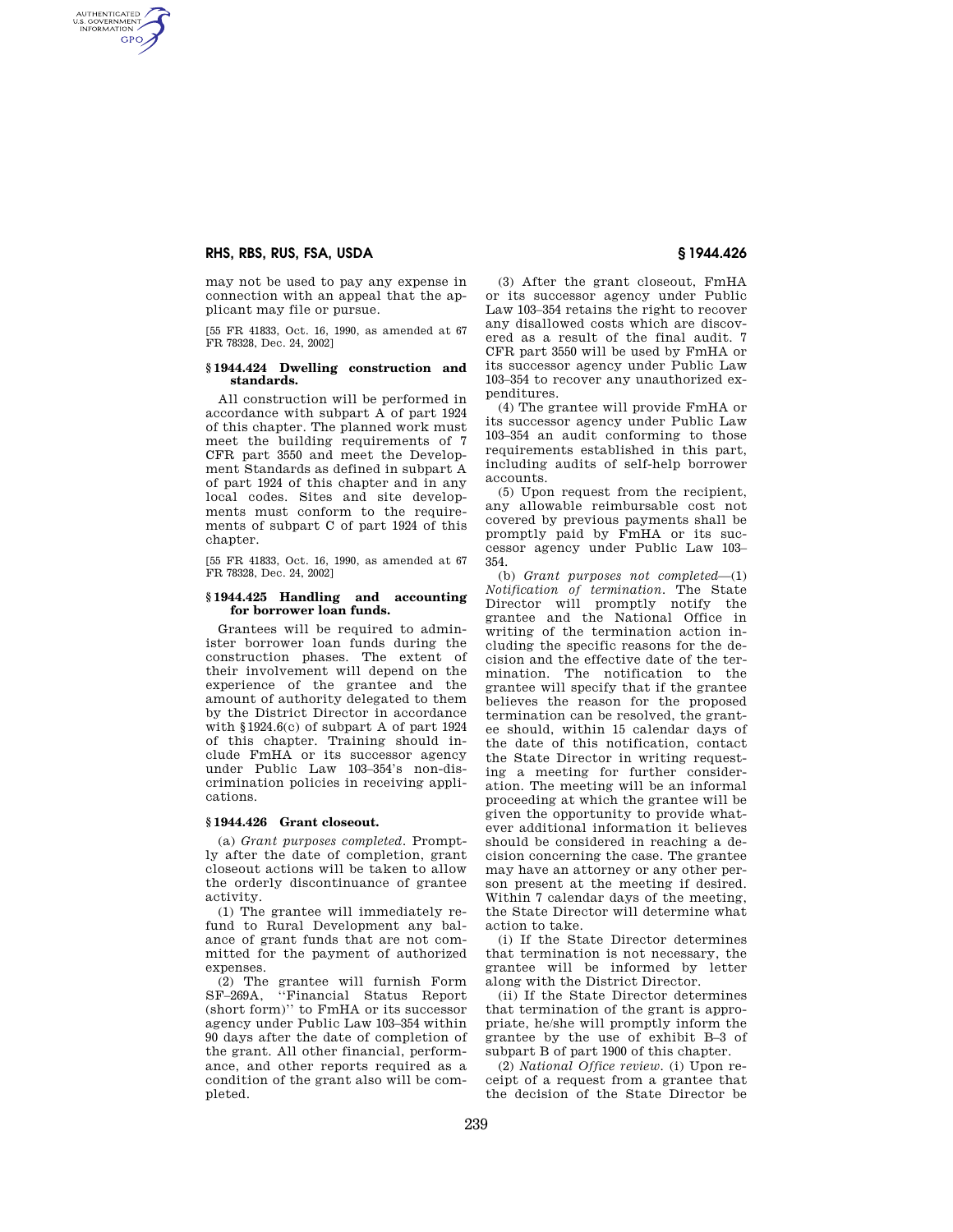# **RHS, RBS, RUS, FSA, USDA § 1944.426**

AUTHENTICATED<br>U.S. GOVERNMENT<br>INFORMATION **GPO** 

> may not be used to pay any expense in connection with an appeal that the applicant may file or pursue.

> [55 FR 41833, Oct. 16, 1990, as amended at 67 FR 78328, Dec. 24, 2002]

### **§ 1944.424 Dwelling construction and standards.**

All construction will be performed in accordance with subpart A of part 1924 of this chapter. The planned work must meet the building requirements of 7 CFR part 3550 and meet the Development Standards as defined in subpart A of part 1924 of this chapter and in any local codes. Sites and site developments must conform to the requirements of subpart C of part 1924 of this chapter.

[55 FR 41833, Oct. 16, 1990, as amended at 67 FR 78328, Dec. 24, 2002]

### **§ 1944.425 Handling and accounting for borrower loan funds.**

Grantees will be required to administer borrower loan funds during the construction phases. The extent of their involvement will depend on the experience of the grantee and the amount of authority delegated to them by the District Director in accordance with §1924.6(c) of subpart A of part 1924 of this chapter. Training should include FmHA or its successor agency under Public Law 103–354's non-discrimination policies in receiving applications.

## **§ 1944.426 Grant closeout.**

(a) *Grant purposes completed.* Promptly after the date of completion, grant closeout actions will be taken to allow the orderly discontinuance of grantee activity.

(1) The grantee will immediately refund to Rural Development any balance of grant funds that are not committed for the payment of authorized expenses.

(2) The grantee will furnish Form SF–269A, ''Financial Status Report (short form)'' to FmHA or its successor agency under Public Law 103–354 within 90 days after the date of completion of the grant. All other financial, performance, and other reports required as a condition of the grant also will be completed.

(3) After the grant closeout, FmHA or its successor agency under Public Law 103–354 retains the right to recover any disallowed costs which are discovered as a result of the final audit. 7 CFR part 3550 will be used by FmHA or its successor agency under Public Law 103–354 to recover any unauthorized expenditures.

(4) The grantee will provide FmHA or its successor agency under Public Law 103–354 an audit conforming to those requirements established in this part, including audits of self-help borrower accounts.

(5) Upon request from the recipient, any allowable reimbursable cost not covered by previous payments shall be promptly paid by FmHA or its successor agency under Public Law 103– 354.

(b) *Grant purposes not completed*—(1) *Notification of termination.* The State Director will promptly notify the grantee and the National Office in writing of the termination action including the specific reasons for the decision and the effective date of the termination. The notification to the grantee will specify that if the grantee believes the reason for the proposed termination can be resolved, the grantee should, within 15 calendar days of the date of this notification, contact the State Director in writing requesting a meeting for further consideration. The meeting will be an informal proceeding at which the grantee will be given the opportunity to provide whatever additional information it believes should be considered in reaching a decision concerning the case. The grantee may have an attorney or any other person present at the meeting if desired. Within 7 calendar days of the meeting, the State Director will determine what action to take.

(i) If the State Director determines that termination is not necessary, the grantee will be informed by letter along with the District Director.

(ii) If the State Director determines that termination of the grant is appropriate, he/she will promptly inform the grantee by the use of exhibit B–3 of subpart B of part 1900 of this chapter.

(2) *National Office review.* (i) Upon receipt of a request from a grantee that the decision of the State Director be